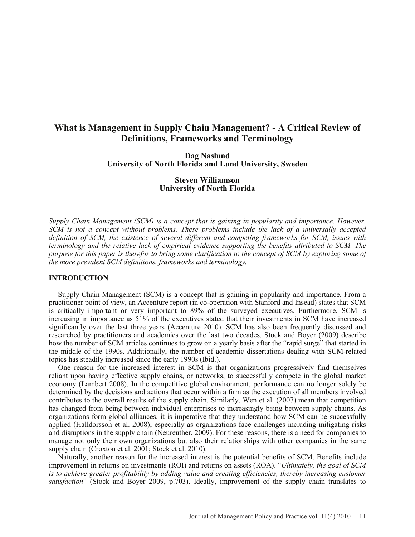# **What is Management in Supply Chain Management? - A Critical Review of Definitions, Frameworks and Terminology**

**Dag Naslund University of North Florida and Lund University, Sweden**

> **Steven Williamson University of North Florida**

*Supply Chain Management (SCM) is a concept that is gaining in popularity and importance. However, SCM is not a concept without problems. These problems include the lack of a universally accepted definition of SCM, the existence of several different and competing frameworks for SCM, issues with terminology and the relative lack of empirical evidence supporting the benefits attributed to SCM. The purpose for this paper is therefor to bring some clarification to the concept of SCM by exploring some of the more prevalent SCM definitions, frameworks and terminology.* 

### **INTRODUCTION**

Supply Chain Management (SCM) is a concept that is gaining in popularity and importance. From a practitioner point of view, an Accenture report (in co-operation with Stanford and Insead) states that SCM is critically important or very important to 89% of the surveyed executives. Furthermore, SCM is increasing in importance as 51% of the executives stated that their investments in SCM have increased significantly over the last three years (Accenture 2010). SCM has also been frequently discussed and researched by practitioners and academics over the last two decades. Stock and Boyer (2009) describe how the number of SCM articles continues to grow on a yearly basis after the "rapid surge" that started in the middle of the 1990s. Additionally, the number of academic dissertations dealing with SCM-related topics has steadily increased since the early 1990s (Ibid.).

One reason for the increased interest in SCM is that organizations progressively find themselves reliant upon having effective supply chains, or networks, to successfully compete in the global market economy (Lambert 2008). In the competitive global environment, performance can no longer solely be determined by the decisions and actions that occur within a firm as the execution of all members involved contributes to the overall results of the supply chain. Similarly, Wen et al. (2007) mean that competition has changed from being between individual enterprises to increasingly being between supply chains. As organizations form global alliances, it is imperative that they understand how SCM can be successfully applied (Halldorsson et al. 2008); especially as organizations face challenges including mitigating risks and disruptions in the supply chain (Neureuther, 2009). For these reasons, there is a need for companies to manage not only their own organizations but also their relationships with other companies in the same supply chain (Croxton et al. 2001; Stock et al. 2010).

Naturally, another reason for the increased interest is the potential benefits of SCM. Benefits include improvement in returns on investments (ROI) and returns on assets (ROA). "*Ultimately, the goal of SCM is to achieve greater profitability by adding value and creating efficiencies, thereby increasing customer satisfaction*" (Stock and Boyer 2009, p.703). Ideally, improvement of the supply chain translates to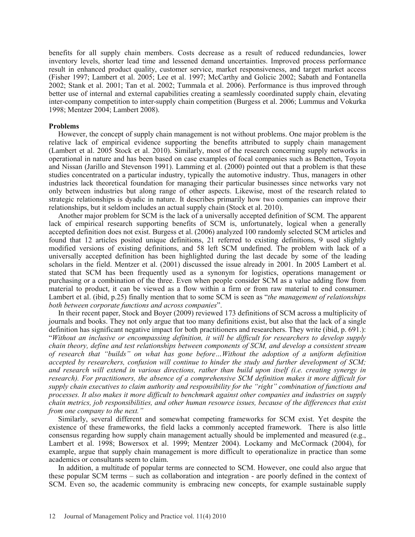benefits for all supply chain members. Costs decrease as a result of reduced redundancies, lower inventory levels, shorter lead time and lessened demand uncertainties. Improved process performance result in enhanced product quality, customer service, market responsiveness, and target market access (Fisher 1997; Lambert et al. 2005; Lee et al. 1997; McCarthy and Golicic 2002; Sabath and Fontanella 2002; Stank et al. 2001; Tan et al. 2002; Tummala et al. 2006). Performance is thus improved through better use of internal and external capabilities creating a seamlessly coordinated supply chain, elevating inter-company competition to inter-supply chain competition (Burgess et al. 2006; Lummus and Vokurka 1998; Mentzer 2004; Lambert 2008).

### **Problems**

However, the concept of supply chain management is not without problems. One major problem is the relative lack of empirical evidence supporting the benefits attributed to supply chain management (Lambert et al. 2005 Stock et al. 2010). Similarly, most of the research concerning supply networks in operational in nature and has been based on case examples of focal companies such as Benetton, Toyota and Nissan (Jarillo and Stevenson 1991). Lamming et al. (2000) pointed out that a problem is that these studies concentrated on a particular industry, typically the automotive industry. Thus, managers in other industries lack theoretical foundation for managing their particular businesses since networks vary not only between industries but along range of other aspects. Likewise, most of the research related to strategic relationships is dyadic in nature. It describes primarily how two companies can improve their relationships, but it seldom includes an actual supply chain (Stock et al. 2010).

Another major problem for SCM is the lack of a universally accepted definition of SCM. The apparent lack of empirical research supporting benefits of SCM is, unfortunately, logical when a generally accepted definition does not exist. Burgess et al. (2006) analyzed 100 randomly selected SCM articles and found that 12 articles posited unique definitions, 21 referred to existing definitions, 9 used slightly modified versions of existing definitions, and 58 left SCM undefined. The problem with lack of a universally accepted definition has been highlighted during the last decade by some of the leading scholars in the field. Mentzer et al. (2001) discussed the issue already in 2001. In 2005 Lambert et al. stated that SCM has been frequently used as a synonym for logistics, operations management or purchasing or a combination of the three. Even when people consider SCM as a value adding flow from material to product, it can be viewed as a flow within a firm or from raw material to end consumer. Lambert et al. (ibid, p.25) finally mention that to some SCM is seen as "*the management of relationships both between corporate functions and across companies*".

 In their recent paper, Stock and Boyer (2009) reviewed 173 definitions of SCM across a multiplicity of journals and books. They not only argue that too many definitions exist, but also that the lack of a single definition has significant negative impact for both practitioners and researchers. They write (ibid, p. 691.): "*Without an inclusive or encompassing definition, it will be difficult for researchers to develop supply chain theory, define and test relationships between components of SCM, and develop a consistent stream of research that "builds" on what has gone before…Without the adoption of a uniform definition accepted by researchers, confusion will continue to hinder the study and further development of SCM; and research will extend in various directions, rather than build upon itself (i.e. creating synergy in research). For practitioners, the absence of a comprehensive SCM definition makes it more difficult for supply chain executives to claim authority and responsibility for the "right" combination of functions and processes. It also makes it more difficult to benchmark against other companies and industries on supply chain metrics, job responsibilities, and other human resource issues, because of the differences that exist from one company to the next."*

Similarly, several different and somewhat competing frameworks for SCM exist. Yet despite the existence of these frameworks, the field lacks a commonly accepted framework. There is also little consensus regarding how supply chain management actually should be implemented and measured (e.g., Lambert et al. 1998; Bowersox et al. 1999; Mentzer 2004). Lockamy and McCormack (2004), for example, argue that supply chain management is more difficult to operationalize in practice than some academics or consultants seem to claim.

In addition, a multitude of popular terms are connected to SCM. However, one could also argue that these popular SCM terms – such as collaboration and integration - are poorly defined in the context of SCM. Even so, the academic community is embracing new concepts, for example sustainable supply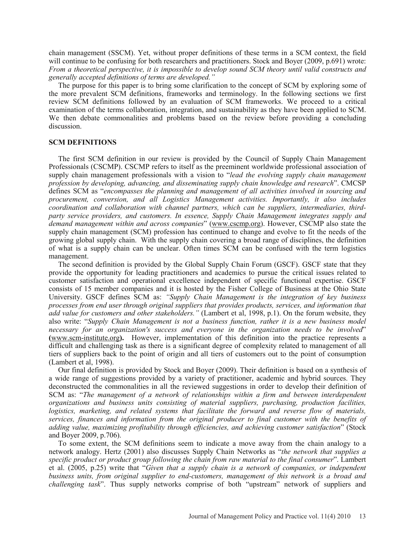chain management (SSCM). Yet, without proper definitions of these terms in a SCM context, the field will continue to be confusing for both researchers and practitioners. Stock and Boyer (2009, p.691) wrote: *From a theoretical perspective, it is impossible to develop sound SCM theory until valid constructs and generally accepted definitions of terms are developed."*

The purpose for this paper is to bring some clarification to the concept of SCM by exploring some of the more prevalent SCM definitions, frameworks and terminology. In the following sections we first review SCM definitions followed by an evaluation of SCM frameworks. We proceed to a critical examination of the terms collaboration, integration, and sustainability as they have been applied to SCM. We then debate commonalities and problems based on the review before providing a concluding discussion.

### **SCM DEFINITIONS**

The first SCM definition in our review is provided by the Council of Supply Chain Management Professionals (CSCMP). CSCMP refers to itself as the preeminent worldwide professional association of supply chain management professionals with a vision to "*lead the evolving supply chain management profession by developing, advancing, and disseminating supply chain knowledge and research*". CMCSP defines SCM as "*encompasses the planning and management of all activities involved in sourcing and procurement, conversion, and all Logistics Management activities. Importantly, it also includes coordination and collaboration with channel partners, which can be suppliers, intermediaries, thirdparty service providers, and customers. In essence, Supply Chain Management integrates supply and demand management within and across companies*" (www.cscmp.org). However, CSCMP also state the supply chain management (SCM) profession has continued to change and evolve to fit the needs of the growing global supply chain. With the supply chain covering a broad range of disciplines, the definition of what is a supply chain can be unclear. Often times SCM can be confused with the term logistics management.

The second definition is provided by the Global Supply Chain Forum (GSCF). GSCF state that they provide the opportunity for leading practitioners and academics to pursue the critical issues related to customer satisfaction and operational excellence independent of specific functional expertise. GSCF consists of 15 member companies and it is hosted by the Fisher College of Business at the Ohio State University. GSCF defines SCM as: *"Supply Chain Management is the integration of key business processes from end user through original suppliers that provides products, services, and information that add value for customers and other stakeholders."* (Lambert et al, 1998, p.1). On the forum website, they also write: "*Supply Chain Management is not a business function, rather it is a new business model necessary for an organization's success and everyone in the organization needs to be involved*" **(**www.scm-institute.org**).** However, implementation of this definition into the practice represents a difficult and challenging task as there is a significant degree of complexity related to management of all tiers of suppliers back to the point of origin and all tiers of customers out to the point of consumption (Lambert et al, 1998).

Our final definition is provided by Stock and Boyer (2009). Their definition is based on a synthesis of a wide range of suggestions provided by a variety of practitioner, academic and hybrid sources. They deconstructed the commonalities in all the reviewed suggestions in order to develop their definition of SCM as: "*The management of a network of relationships within a firm and between interdependent organizations and business units consisting of material suppliers, purchasing, production facilities, logistics, marketing, and related systems that facilitate the forward and reverse flow of materials, services, finances and information from the original producer to final customer with the benefits of adding value, maximizing profitability through efficiencies, and achieving customer satisfaction*" (Stock and Boyer 2009, p.706).

To some extent, the SCM definitions seem to indicate a move away from the chain analogy to a network analogy. Hertz (2001) also discusses Supply Chain Networks as "*the network that supplies a specific product or product group following the chain from raw material to the final consumer*". Lambert et al. (2005, p.25) write that "*Given that a supply chain is a network of companies, or independent business units, from original supplier to end-customers, management of this network is a broad and challenging task*". Thus supply networks comprise of both "upstream" network of suppliers and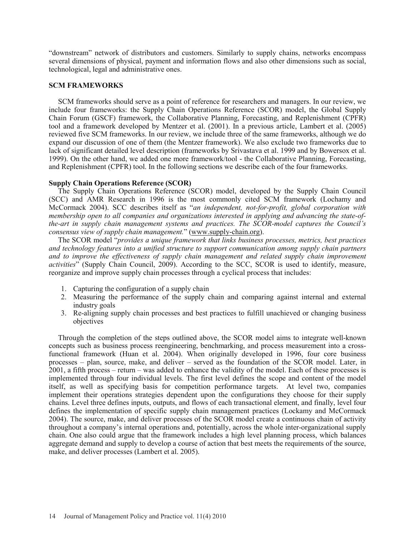"downstream" network of distributors and customers. Similarly to supply chains, networks encompass several dimensions of physical, payment and information flows and also other dimensions such as social, technological, legal and administrative ones.

### **SCM FRAMEWORKS**

SCM frameworks should serve as a point of reference for researchers and managers. In our review, we include four frameworks: the Supply Chain Operations Reference (SCOR) model, the Global Supply Chain Forum (GSCF) framework, the Collaborative Planning, Forecasting, and Replenishment (CPFR) tool and a framework developed by Mentzer et al. (2001). In a previous article, Lambert et al. (2005) reviewed five SCM frameworks. In our review, we include three of the same frameworks, although we do expand our discussion of one of them (the Mentzer framework). We also exclude two frameworks due to lack of significant detailed level description (frameworks by Srivastava et al. 1999 and by Bowersox et al. 1999). On the other hand, we added one more framework/tool - the Collaborative Planning, Forecasting, and Replenishment (CPFR) tool. In the following sections we describe each of the four frameworks.

### **Supply Chain Operations Reference (SCOR)**

The Supply Chain Operations Reference (SCOR) model, developed by the Supply Chain Council (SCC) and AMR Research in 1996 is the most commonly cited SCM framework (Lochamy and McCormack 2004). SCC describes itself as "*an independent, not-for-profit, global corporation with membership open to all companies and organizations interested in applying and advancing the state-ofthe-art in supply chain management systems and practices. The SCOR-model captures the Council's consensus view of supply chain management.*" (www.supply-chain.org).

The SCOR model "*provides a unique framework that links business processes, metrics, best practices and technology features into a unified structure to support communication among supply chain partners and to improve the effectiveness of supply chain management and related supply chain improvement activities*" (Supply Chain Council, 2009). According to the SCC, SCOR is used to identify, measure, reorganize and improve supply chain processes through a cyclical process that includes:

- 1. Capturing the configuration of a supply chain
- 2. Measuring the performance of the supply chain and comparing against internal and external industry goals
- 3. Re-aligning supply chain processes and best practices to fulfill unachieved or changing business objectives

Through the completion of the steps outlined above, the SCOR model aims to integrate well-known concepts such as business process reengineering, benchmarking, and process measurement into a crossfunctional framework (Huan et al. 2004). When originally developed in 1996, four core business processes – plan, source, make, and deliver – served as the foundation of the SCOR model. Later, in 2001, a fifth process – return – was added to enhance the validity of the model. Each of these processes is implemented through four individual levels. The first level defines the scope and content of the model itself, as well as specifying basis for competition performance targets. At level two, companies implement their operations strategies dependent upon the configurations they choose for their supply chains. Level three defines inputs, outputs, and flows of each transactional element, and finally, level four defines the implementation of specific supply chain management practices (Lockamy and McCormack 2004). The source, make, and deliver processes of the SCOR model create a continuous chain of activity throughout a company's internal operations and, potentially, across the whole inter-organizational supply chain. One also could argue that the framework includes a high level planning process, which balances aggregate demand and supply to develop a course of action that best meets the requirements of the source, make, and deliver processes (Lambert et al. 2005).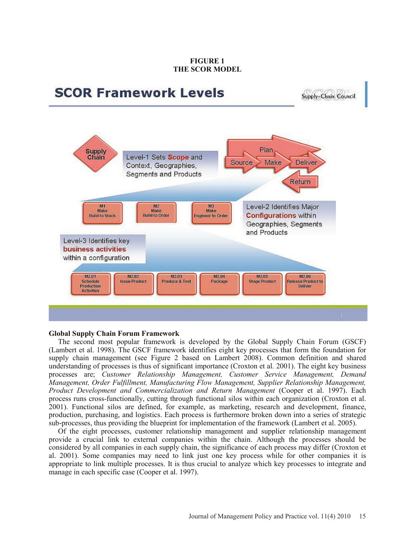### **FIGURE 1 THE SCOR MODEL**



Supply-Chain Council



### **Global Supply Chain Forum Framework**

The second most popular framework is developed by the Global Supply Chain Forum (GSCF) (Lambert et al. 1998). The GSCF framework identifies eight key processes that form the foundation for supply chain management (see Figure 2 based on Lambert 2008). Common definition and shared understanding of processes is thus of significant importance (Croxton et al. 2001). The eight key business processes are; *Customer Relationship Management, Customer Service Management, Demand Management, Order Fulfillment, Manufacturing Flow Management, Supplier Relationship Management, Product Development and Commercialization and Return Management* (Cooper et al. 1997). Each process runs cross-functionally, cutting through functional silos within each organization (Croxton et al. 2001). Functional silos are defined, for example, as marketing, research and development, finance, production, purchasing, and logistics. Each process is furthermore broken down into a series of strategic sub-processes, thus providing the blueprint for implementation of the framework (Lambert et al. 2005).

Of the eight processes, customer relationship management and supplier relationship management provide a crucial link to external companies within the chain. Although the processes should be considered by all companies in each supply chain, the significance of each process may differ (Croxton et al. 2001). Some companies may need to link just one key process while for other companies it is appropriate to link multiple processes. It is thus crucial to analyze which key processes to integrate and manage in each specific case (Cooper et al. 1997).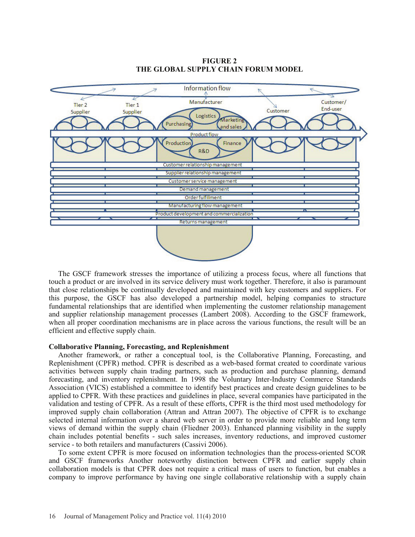

### **FIGURE 2 THE GLOBAL SUPPLY CHAIN FORUM MODEL**

The GSCF framework stresses the importance of utilizing a process focus, where all functions that touch a product or are involved in its service delivery must work together. Therefore, it also is paramount that close relationships be continually developed and maintained with key customers and suppliers. For this purpose, the GSCF has also developed a partnership model, helping companies to structure fundamental relationships that are identified when implementing the customer relationship management and supplier relationship management processes (Lambert 2008). According to the GSCF framework, when all proper coordination mechanisms are in place across the various functions, the result will be an efficient and effective supply chain.

### **Collaborative Planning, Forecasting, and Replenishment**

Another framework, or rather a conceptual tool, is the Collaborative Planning, Forecasting, and Replenishment (CPFR) method. CPFR is described as a web-based format created to coordinate various activities between supply chain trading partners, such as production and purchase planning, demand forecasting, and inventory replenishment. In 1998 the Voluntary Inter-Industry Commerce Standards Association (VICS) established a committee to identify best practices and create design guidelines to be applied to CPFR. With these practices and guidelines in place, several companies have participated in the validation and testing of CPFR. As a result of these efforts, CPFR is the third most used methodology for improved supply chain collaboration (Attran and Attran 2007). The objective of CPFR is to exchange selected internal information over a shared web server in order to provide more reliable and long term views of demand within the supply chain (Fliedner 2003). Enhanced planning visibility in the supply chain includes potential benefits - such sales increases, inventory reductions, and improved customer service - to both retailers and manufacturers (Cassivi 2006).

To some extent CPFR is more focused on information technologies than the process-oriented SCOR and GSCF frameworks Another noteworthy distinction between CPFR and earlier supply chain collaboration models is that CPFR does not require a critical mass of users to function, but enables a company to improve performance by having one single collaborative relationship with a supply chain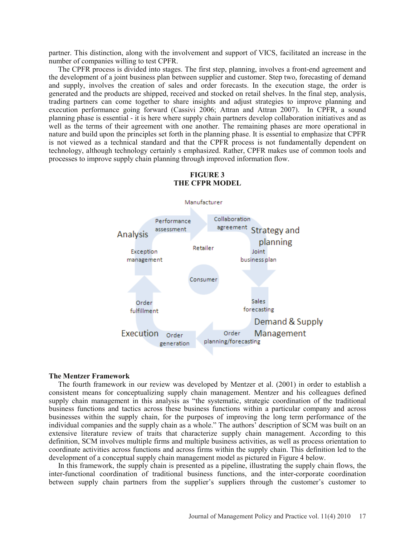partner. This distinction, along with the involvement and support of VICS, facilitated an increase in the number of companies willing to test CPFR.

The CPFR process is divided into stages. The first step, planning, involves a front-end agreement and the development of a joint business plan between supplier and customer. Step two, forecasting of demand and supply, involves the creation of sales and order forecasts. In the execution stage, the order is generated and the products are shipped, received and stocked on retail shelves. In the final step, analysis, trading partners can come together to share insights and adjust strategies to improve planning and execution performance going forward (Cassivi 2006; Attran and Attran 2007). In CPFR, a sound planning phase is essential - it is here where supply chain partners develop collaboration initiatives and as well as the terms of their agreement with one another. The remaining phases are more operational in nature and build upon the principles set forth in the planning phase. It is essential to emphasize that CPFR is not viewed as a technical standard and that the CPFR process is not fundamentally dependent on technology, although technology certainly s emphasized. Rather, CPFR makes use of common tools and processes to improve supply chain planning through improved information flow.



## **FIGURE 3 THE CFPR MODEL**

#### **The Mentzer Framework**

The fourth framework in our review was developed by Mentzer et al. (2001) in order to establish a consistent means for conceptualizing supply chain management. Mentzer and his colleagues defined supply chain management in this analysis as "the systematic, strategic coordination of the traditional business functions and tactics across these business functions within a particular company and across businesses within the supply chain, for the purposes of improving the long term performance of the individual companies and the supply chain as a whole." The authors' description of SCM was built on an extensive literature review of traits that characterize supply chain management. According to this definition, SCM involves multiple firms and multiple business activities, as well as process orientation to coordinate activities across functions and across firms within the supply chain. This definition led to the development of a conceptual supply chain management model as pictured in Figure 4 below.

In this framework, the supply chain is presented as a pipeline, illustrating the supply chain flows, the inter-functional coordination of traditional business functions, and the inter-corporate coordination between supply chain partners from the supplier's suppliers through the customer's customer to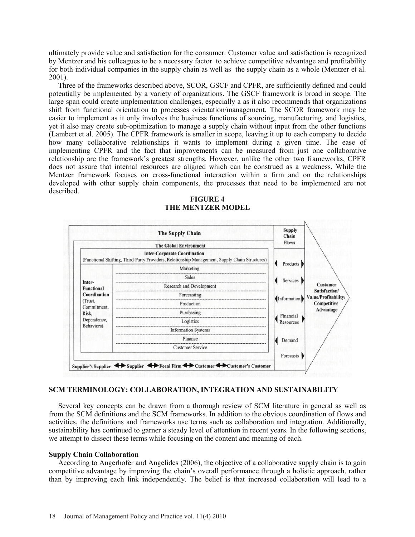ultimately provide value and satisfaction for the consumer. Customer value and satisfaction is recognized by Mentzer and his colleagues to be a necessary factor to achieve competitive advantage and profitability for both individual companies in the supply chain as well as the supply chain as a whole (Mentzer et al. 2001).

Three of the frameworks described above, SCOR, GSCF and CPFR, are sufficiently defined and could potentially be implemented by a variety of organizations. The GSCF framework is broad in scope. The large span could create implementation challenges, especially a as it also recommends that organizations shift from functional orientation to processes orientation/management. The SCOR framework may be easier to implement as it only involves the business functions of sourcing, manufacturing, and logistics, yet it also may create sub-optimization to manage a supply chain without input from the other functions (Lambert et al. 2005). The CPFR framework is smaller in scope, leaving it up to each company to decide how many collaborative relationships it wants to implement during a given time. The ease of implementing CPFR and the fact that improvements can be measured from just one collaborative relationship are the framework's greatest strengths. However, unlike the other two frameworks, CPFR does not assure that internal resources are aligned which can be construed as a weakness. While the Mentzer framework focuses on cross-functional interaction within a firm and on the relationships developed with other supply chain components, the processes that need to be implemented are not described.



### **FIGURE 4 THE MENTZER MODEL**

## **SCM TERMINOLOGY: COLLABORATION, INTEGRATION AND SUSTAINABILITY**

Several key concepts can be drawn from a thorough review of SCM literature in general as well as from the SCM definitions and the SCM frameworks. In addition to the obvious coordination of flows and activities, the definitions and frameworks use terms such as collaboration and integration. Additionally, sustainability has continued to garner a steady level of attention in recent years. In the following sections, we attempt to dissect these terms while focusing on the content and meaning of each.

## **Supply Chain Collaboration**

According to Angerhofer and Angelides (2006), the objective of a collaborative supply chain is to gain competitive advantage by improving the chain's overall performance through a holistic approach, rather than by improving each link independently. The belief is that increased collaboration will lead to a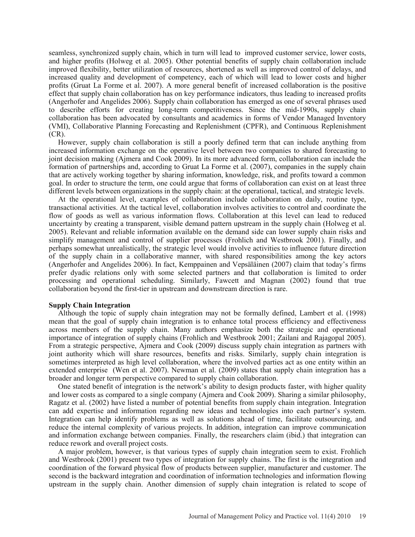seamless, synchronized supply chain, which in turn will lead to improved customer service, lower costs, and higher profits (Holweg et al. 2005). Other potential benefits of supply chain collaboration include improved flexibility, better utilization of resources, shortened as well as improved control of delays, and increased quality and development of competency, each of which will lead to lower costs and higher profits (Gruat La Forme et al. 2007). A more general benefit of increased collaboration is the positive effect that supply chain collaboration has on key performance indicators, thus leading to increased profits (Angerhofer and Angelides 2006). Supply chain collaboration has emerged as one of several phrases used to describe efforts for creating long-term competitiveness. Since the mid-1990s, supply chain collaboration has been advocated by consultants and academics in forms of Vendor Managed Inventory (VMI), Collaborative Planning Forecasting and Replenishment (CPFR), and Continuous Replenishment  $(CR)$ .

However, supply chain collaboration is still a poorly defined term that can include anything from increased information exchange on the operative level between two companies to shared forecasting to joint decision making (Ajmera and Cook 2009). In its more advanced form, collaboration can include the formation of partnerships and, according to Gruat La Forme et al. (2007), companies in the supply chain that are actively working together by sharing information, knowledge, risk, and profits toward a common goal. In order to structure the term, one could argue that forms of collaboration can exist on at least three different levels between organizations in the supply chain: at the operational, tactical, and strategic levels.

At the operational level, examples of collaboration include collaboration on daily, routine type, transactional activities. At the tactical level, collaboration involves activities to control and coordinate the flow of goods as well as various information flows. Collaboration at this level can lead to reduced uncertainty by creating a transparent, visible demand pattern upstream in the supply chain (Holweg et al. 2005). Relevant and reliable information available on the demand side can lower supply chain risks and simplify management and control of supplier processes (Frohlich and Westbrook 2001). Finally, and perhaps somewhat unrealistically, the strategic level would involve activities to influence future direction of the supply chain in a collaborative manner, with shared responsibilities among the key actors (Angerhofer and Angelides 2006). In fact, Kemppainen and Vepsäläinen (2007) claim that today's firms prefer dyadic relations only with some selected partners and that collaboration is limited to order processing and operational scheduling. Similarly, Fawcett and Magnan (2002) found that true collaboration beyond the first-tier in upstream and downstream direction is rare.

### **Supply Chain Integration**

Although the topic of supply chain integration may not be formally defined, Lambert et al. (1998) mean that the goal of supply chain integration is to enhance total process efficiency and effectiveness across members of the supply chain. Many authors emphasize both the strategic and operational importance of integration of supply chains (Frohlich and Westbrook 2001; Zailani and Rajagopal 2005). From a strategic perspective, Ajmera and Cook (2009) discuss supply chain integration as partners with joint authority which will share resources, benefits and risks. Similarly, supply chain integration is sometimes interpreted as high level collaboration, where the involved parties act as one entity within an extended enterprise (Wen et al. 2007). Newman et al. (2009) states that supply chain integration has a broader and longer term perspective compared to supply chain collaboration.

One stated benefit of integration is the network's ability to design products faster, with higher quality and lower costs as compared to a single company (Ajmera and Cook 2009). Sharing a similar philosophy, Ragatz et al. (2002) have listed a number of potential benefits from supply chain integration. Integration can add expertise and information regarding new ideas and technologies into each partner's system. Integration can help identify problems as well as solutions ahead of time, facilitate outsourcing, and reduce the internal complexity of various projects. In addition, integration can improve communication and information exchange between companies. Finally, the researchers claim (ibid.) that integration can reduce rework and overall project costs.

A major problem, however, is that various types of supply chain integration seem to exist. Frohlich and Westbrook (2001) present two types of integration for supply chains. The first is the integration and coordination of the forward physical flow of products between supplier, manufacturer and customer. The second is the backward integration and coordination of information technologies and information flowing upstream in the supply chain. Another dimension of supply chain integration is related to scope of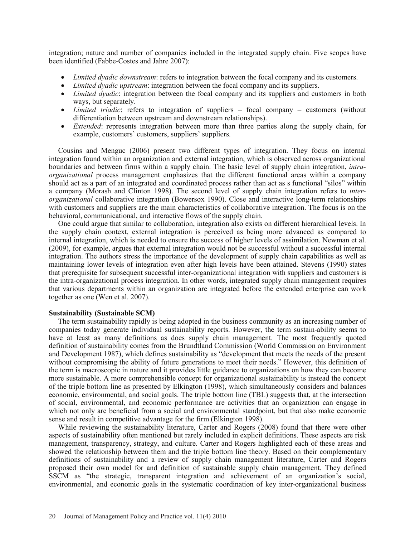integration; nature and number of companies included in the integrated supply chain. Five scopes have been identified (Fabbe-Costes and Jahre 2007):

- *Limited dyadic downstream*: refers to integration between the focal company and its customers.
- *Limited dyadic upstream*: integration between the focal company and its suppliers.
- *Limited dyadic*: integration between the focal company and its suppliers and customers in both ways, but separately.
- *Limited triadic*: refers to integration of suppliers focal company customers (without differentiation between upstream and downstream relationships).
- *Extended:* represents integration between more than three parties along the supply chain, for example, customers' customers, suppliers' suppliers.

Cousins and Menguc (2006) present two different types of integration. They focus on internal integration found within an organization and external integration, which is observed across organizational boundaries and between firms within a supply chain. The basic level of supply chain integration, *intraorganizational* process management emphasizes that the different functional areas within a company should act as a part of an integrated and coordinated process rather than act as s functional "silos" within a company (Morash and Clinton 1998). The second level of supply chain integration refers to *interorganizational* collaborative integration (Bowersox 1990). Close and interactive long-term relationships with customers and suppliers are the main characteristics of collaborative integration. The focus is on the behavioral, communicational, and interactive flows of the supply chain.

One could argue that similar to collaboration, integration also exists on different hierarchical levels. In the supply chain context, external integration is perceived as being more advanced as compared to internal integration, which is needed to ensure the success of higher levels of assimilation. Newman et al. (2009), for example, argues that external integration would not be successful without a successful internal integration. The authors stress the importance of the development of supply chain capabilities as well as maintaining lower levels of integration even after high levels have been attained. Stevens (1990) states that prerequisite for subsequent successful inter-organizational integration with suppliers and customers is the intra-organizational process integration. In other words, integrated supply chain management requires that various departments within an organization are integrated before the extended enterprise can work together as one (Wen et al. 2007).

### **Sustainability (Sustainable SCM)**

The term sustainability rapidly is being adopted in the business community as an increasing number of companies today generate individual sustainability reports. However, the term sustain-ability seems to have at least as many definitions as does supply chain management. The most frequently quoted definition of sustainability comes from the Brundtland Commission (World Commission on Environment and Development 1987), which defines sustainability as "development that meets the needs of the present without compromising the ability of future generations to meet their needs." However, this definition of the term is macroscopic in nature and it provides little guidance to organizations on how they can become more sustainable. A more comprehensible concept for organizational sustainability is instead the concept of the triple bottom line as presented by Elkington (1998), which simultaneously considers and balances economic, environmental, and social goals. The triple bottom line (TBL) suggests that, at the intersection of social, environmental, and economic performance are activities that an organization can engage in which not only are beneficial from a social and environmental standpoint, but that also make economic sense and result in competitive advantage for the firm (Elkington 1998).

While reviewing the sustainability literature, Carter and Rogers (2008) found that there were other aspects of sustainability often mentioned but rarely included in explicit definitions. These aspects are risk management, transparency, strategy, and culture. Carter and Rogers highlighted each of these areas and showed the relationship between them and the triple bottom line theory. Based on their complementary definitions of sustainability and a review of supply chain management literature, Carter and Rogers proposed their own model for and definition of sustainable supply chain management. They defined SSCM as "the strategic, transparent integration and achievement of an organization's social, environmental, and economic goals in the systematic coordination of key inter-organizational business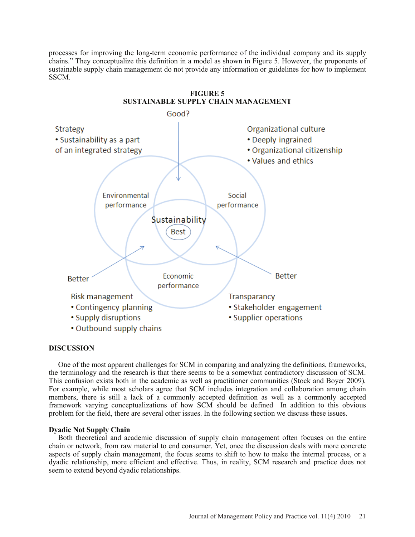processes for improving the long-term economic performance of the individual company and its supply chains." They conceptualize this definition in a model as shown in Figure 5. However, the proponents of sustainable supply chain management do not provide any information or guidelines for how to implement SSCM.



## **DISCUSSION**

One of the most apparent challenges for SCM in comparing and analyzing the definitions, frameworks, the terminology and the research is that there seems to be a somewhat contradictory discussion of SCM. This confusion exists both in the academic as well as practitioner communities (Stock and Boyer 2009)*.* For example, while most scholars agree that SCM includes integration and collaboration among chain members, there is still a lack of a commonly accepted definition as well as a commonly accepted framework varying conceptualizations of how SCM should be defined In addition to this obvious problem for the field, there are several other issues. In the following section we discuss these issues.

### **Dyadic Not Supply Chain**

Both theoretical and academic discussion of supply chain management often focuses on the entire chain or network, from raw material to end consumer. Yet, once the discussion deals with more concrete aspects of supply chain management, the focus seems to shift to how to make the internal process, or a dyadic relationship, more efficient and effective. Thus, in reality, SCM research and practice does not seem to extend beyond dyadic relationships.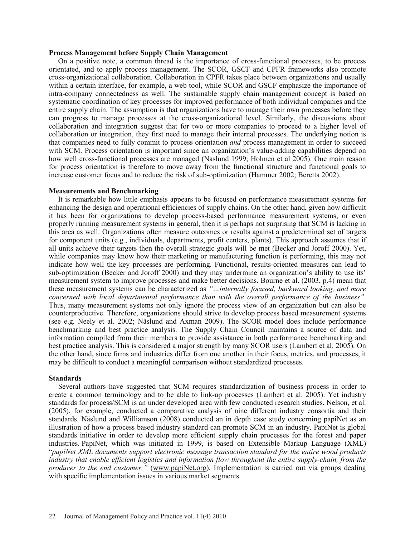### **Process Management before Supply Chain Management**

On a positive note, a common thread is the importance of cross-functional processes, to be process orientated, and to apply process management. The SCOR, GSCF and CPFR frameworks also promote cross-organizational collaboration. Collaboration in CPFR takes place between organizations and usually within a certain interface, for example, a web tool, while SCOR and GSCF emphasize the importance of intra-company connectedness as well. The sustainable supply chain management concept is based on systematic coordination of key processes for improved performance of both individual companies and the entire supply chain. The assumption is that organizations have to manage their own processes before they can progress to manage processes at the cross-organizational level. Similarly, the discussions about collaboration and integration suggest that for two or more companies to proceed to a higher level of collaboration or integration, they first need to manage their internal processes. The underlying notion is that companies need to fully commit to process orientation *and* process management in order to succeed with SCM. Process orientation is important since an organization's value-adding capabilities depend on how well cross-functional processes are managed (Naslund 1999; Holmen et al 2005). One main reason for process orientation is therefore to move away from the functional structure and functional goals to increase customer focus and to reduce the risk of sub-optimization (Hammer 2002; Beretta 2002).

#### **Measurements and Benchmarking**

It is remarkable how little emphasis appears to be focused on performance measurement systems for enhancing the design and operational efficiencies of supply chains. On the other hand, given how difficult it has been for organizations to develop process-based performance measurement systems, or even properly running measurement systems in general, then it is perhaps not surprising that SCM is lacking in this area as well. Organizations often measure outcomes or results against a predetermined set of targets for component units (e.g., individuals, departments, profit centers, plants). This approach assumes that if all units achieve their targets then the overall strategic goals will be met (Becker and Joroff 2000). Yet, while companies may know how their marketing or manufacturing function is performing, this may not indicate how well the key processes are performing. Functional, results-oriented measures can lead to sub-optimization (Becker and Joroff 2000) and they may undermine an organization's ability to use its' measurement system to improve processes and make better decisions. Bourne et al. (2003, p.4) mean that these measurement systems can be characterized as *"…internally focused, backward looking, and more concerned with local departmental performance than with the overall performance of the business".*  Thus, many measurement systems not only ignore the process view of an organization but can also be counterproductive. Therefore, organizations should strive to develop process based measurement systems (see e.g. Neely et al. 2002; Näslund and Axman 2009). The SCOR model does include performance benchmarking and best practice analysis. The Supply Chain Council maintains a source of data and information compiled from their members to provide assistance in both performance benchmarking and best practice analysis. This is considered a major strength by many SCOR users (Lambert et al. 2005). On the other hand, since firms and industries differ from one another in their focus, metrics, and processes, it may be difficult to conduct a meaningful comparison without standardized processes.

### **Standards**

Several authors have suggested that SCM requires standardization of business process in order to create a common terminology and to be able to link-up processes (Lambert et al. 2005). Yet industry standards for process/SCM is an under developed area with few conducted research studies. Nelson, et al. (2005), for example, conducted a comparative analysis of nine different industry consortia and their standards. Näslund and Williamson (2008) conducted an in depth case study concerning papiNet as an illustration of how a process based industry standard can promote SCM in an industry. PapiNet is global standards initiative in order to develop more efficient supply chain processes for the forest and paper industries. PapiNet, which was initiated in 1999, is based on Extensible Markup Language (XML) "*papiNet XML documents support electronic message transaction standard for the entire wood products industry that enable efficient logistics and information flow throughout the entire supply-chain, from the producer to the end customer.*" (www.papiNet.org). Implementation is carried out via groups dealing with specific implementation issues in various market segments.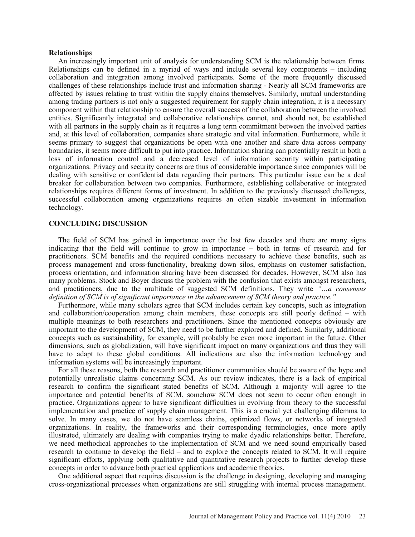### **Relationships**

An increasingly important unit of analysis for understanding SCM is the relationship between firms. Relationships can be defined in a myriad of ways and include several key components – including collaboration and integration among involved participants. Some of the more frequently discussed challenges of these relationships include trust and information sharing - Nearly all SCM frameworks are affected by issues relating to trust within the supply chains themselves. Similarly, mutual understanding among trading partners is not only a suggested requirement for supply chain integration, it is a necessary component within that relationship to ensure the overall success of the collaboration between the involved entities. Significantly integrated and collaborative relationships cannot, and should not, be established with all partners in the supply chain as it requires a long term commitment between the involved parties and, at this level of collaboration, companies share strategic and vital information. Furthermore, while it seems primary to suggest that organizations be open with one another and share data across company boundaries, it seems more difficult to put into practice. Information sharing can potentially result in both a loss of information control and a decreased level of information security within participating organizations. Privacy and security concerns are thus of considerable importance since companies will be dealing with sensitive or confidential data regarding their partners. This particular issue can be a deal breaker for collaboration between two companies. Furthermore, establishing collaborative or integrated relationships requires different forms of investment. In addition to the previously discussed challenges, successful collaboration among organizations requires an often sizable investment in information technology.

### **CONCLUDING DISCUSSION**

The field of SCM has gained in importance over the last few decades and there are many signs indicating that the field will continue to grow in importance – both in terms of research and for practitioners. SCM benefits and the required conditions necessary to achieve these benefits, such as process management and cross-functionality, breaking down silos, emphasis on customer satisfaction, process orientation, and information sharing have been discussed for decades. However, SCM also has many problems. Stock and Boyer discuss the problem with the confusion that exists amongst researchers, and practitioners, due to the multitude of suggested SCM definitions. They write *"…a consensus definition of SCM is of significant importance in the advancement of SCM theory and practice."*

Furthermore, while many scholars agree that SCM includes certain key concepts, such as integration and collaboration/cooperation among chain members, these concepts are still poorly defined – with multiple meanings to both researchers and practitioners. Since the mentioned concepts obviously are important to the development of SCM, they need to be further explored and defined. Similarly, additional concepts such as sustainability, for example, will probably be even more important in the future. Other dimensions, such as globalization, will have significant impact on many organizations and thus they will have to adapt to these global conditions. All indications are also the information technology and information systems will be increasingly important.

For all these reasons, both the research and practitioner communities should be aware of the hype and potentially unrealistic claims concerning SCM. As our review indicates, there is a lack of empirical research to confirm the significant stated benefits of SCM. Although a majority will agree to the importance and potential benefits of SCM, somehow SCM does not seem to occur often enough in practice. Organizations appear to have significant difficulties in evolving from theory to the successful implementation and practice of supply chain management. This is a crucial yet challenging dilemma to solve. In many cases, we do not have seamless chains, optimized flows, or networks of integrated organizations. In reality, the frameworks and their corresponding terminologies, once more aptly illustrated, ultimately are dealing with companies trying to make dyadic relationships better. Therefore, we need methodical approaches to the implementation of SCM and we need sound empirically based research to continue to develop the field – and to explore the concepts related to SCM. It will require significant efforts, applying both qualitative and quantitative research projects to further develop these concepts in order to advance both practical applications and academic theories.

One additional aspect that requires discussion is the challenge in designing, developing and managing cross-organizational processes when organizations are still struggling with internal process management.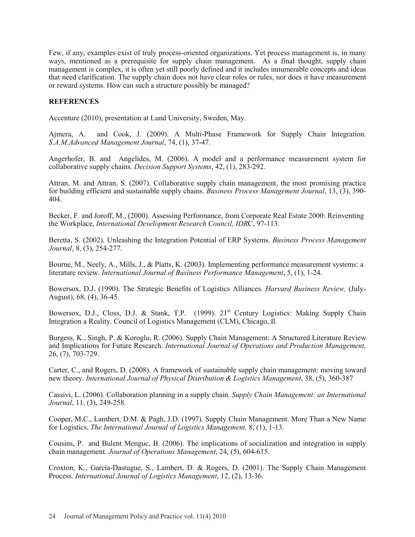Few, if any, examples exist of truly process-oriented organizations. Yet process management is, in many ways, mentioned as a prerequisite for supply chain management. As a final thought, supply chain management is complex, it is often yet still poorly defined and it includes innumerable concepts and ideas that need clarification. The supply chain does not have clear roles or rules, nor does it have measurement or reward systems. How can such a structure possibly be managed?

## **REFERENCES**

Accenture (2010), presentation at Lund University, Sweden, May.

Ajmera, A. and Cook, J. (2009). A Multi-Phase Framework for Supply Chain Integration. *S.A.M.Advanced Management Journal*, 74, (1), 37-47.

Angerhofer, B. and Angelides, M. (2006). A model and a performance measurement system for collaborative supply chains. *Decision Support Systems*, 42, (1), 283-292.

Attran, M. and Attran, S. (2007). Collaborative supply chain management, the most promising practice for building efficient and sustainable supply chains. *Business Process Management Journal*, 13, (3), 390- 404.

Becker, F. and Joroff, M., (2000). Assessing Performance, from Corporate Real Estate 2000: Reinventing the Workplace, *International Development Research Council, IDR*C, 97-113.

Beretta, S. (2002). Unleashing the Integration Potential of ERP Systems. *Business Process Management Journal*, 8, (3), 254-277.

Bourne, M., Neely, A., Mills, J., & Platts, K. (2003). Implementing performance measurement systems: a literature review. *International Journal of Business Performance Management*, 5, (1), 1-24.

Bowersox, D.J. (1990). The Strategic Benefits of Logistics Alliances. *Harvard Business Review,* (July-August), 68, (4), 36-45.

Bowersox, D.J., Closs, D.J. & Stank, T.P. (1999).  $21<sup>st</sup>$  Century Logistics: Making Supply Chain Integration a Reality. Council of Logistics Management (CLM), Chicago, Il.

Burgess, K., Singh, P. & Koroglu, R. (2006). Supply Chain Management: A Structured Literature Review and Implications for Future Research. *International Journal of Operations and Production Management,*  26, (7), 703-729.

Carter, C., and Rogers, D. (2008). A framework of sustainable supply chain management: moving toward new theory. *International Journal of Physical Distribution & Logistics Management*, 38, (5), 360-387

Cassivi, L. (2006). Collaboration planning in a supply chain. *Supply Chain Management: an International Journal*, 11, (3), 249-258.

Cooper, M.C., Lambert, D.M. & Pagh, J.D. (1997). Supply Chain Management. More Than a New Name for Logistics. *The International Journal of Logistics Management,* 8, (1), 1-13.

Cousins, P. and Bulent Menguc, B. (2006). The implications of socialization and integration in supply chain management. *Journal of Operations Management*, 24, (5), 604-615.

Croxton, K., García-Dastugue, S., Lambert, D. & Rogers, D. (2001). The Supply Chain Management Process. *International Journal of Logistics Management*, 12, (2), 13-36.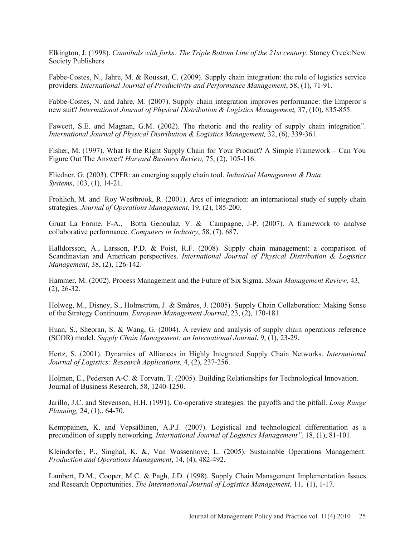Elkington, J. (1998). *Cannibals with forks: The Triple Bottom Line of the 21st century.* Stoney Creek:New Society Publishers

Fabbe-Costes, N., Jahre, M. & Roussat, C. (2009). Supply chain integration: the role of logistics service providers. *International Journal of Productivity and Performance Management*, 58, (1), 71-91.

Fabbe-Costes, N. and Jahre, M. (2007). Supply chain integration improves performance: the Emperor´s new suit? *International Journal of Physical Distribution & Logistics Management,* 37, (10), 835-855.

Fawcett, S.E. and Magnan, G.M. (2002). The rhetoric and the reality of supply chain integration". *International Journal of Physical Distribution & Logistics Management,* 32, (6), 339-361.

Fisher, M. (1997). What Is the Right Supply Chain for Your Product? A Simple Framework – Can You Figure Out The Answer? *Harvard Business Review,* 75, (2), 105-116.

Fliedner, G. (2003). CPFR: an emerging supply chain tool. *Industrial Management & Data Systems*, 103, (1), 14-21.

Frohlich, M. and Roy Westbrook, R. (2001). Arcs of integration: an international study of supply chain strategies. *Journal of Operations Management*, 19, (2), 185-200.

Gruat La Forme, F-A., Botta Genoulaz, V. & Campagne, J-P. (2007). A framework to analyse collaborative performance. *Computers in Industry*, 58, (7). 687.

Halldorsson, A., Larsson, P.D. & Poist, R.F. (2008). Supply chain management: a comparison of Scandinavian and American perspectives. *International Journal of Physical Distribution & Logistics Management*, 38, (2), 126-142.

Hammer, M. (2002). Process Management and the Future of Six Sigma. *Sloan Management Review,* 43, (2), 26-32.

Holweg, M., Disney, S., Holmström, J. & Småros, J. (2005). Supply Chain Collaboration: Making Sense of the Strategy Continuum. *European Management Journal*, 23, (2), 170-181.

Huan, S., Sheoran, S. & Wang, G. (2004). A review and analysis of supply chain operations reference (SCOR) model. *Supply Chain Management: an International Journal*, 9, (1), 23-29.

Hertz, S. (2001). Dynamics of Alliances in Highly Integrated Supply Chain Networks. *International Journal of Logistics: Research Applications,* 4, (2), 237-256.

Holmen, E., Pedersen A-C. & Torvatn, T. (2005). Building Relationships for Technological Innovation. Journal of Business Research, 58, 1240-1250.

Jarillo, J.C. and Stevenson, H.H. (1991). Co-operative strategies: the payoffs and the pitfall. *Long Range Planning,* 24, (1),. 64-70.

Kemppainen, K. and Vepsäläinen, A.P.J. (2007). Logistical and technological differentiation as a precondition of supply networking. *International Journal of Logistics Management",* 18, (1), 81-101.

Kleindorfer, P., Singhal, K. &, Van Wassenhove, L. (2005). Sustainable Operations Management. *Production and Operations Management*, 14, (4), 482-492.

Lambert, D.M., Cooper, M.C. & Pagh, J.D. (1998). Supply Chain Management Implementation Issues and Research Opportunities. *The International Journal of Logistics Management,* 11, (1), 1-17.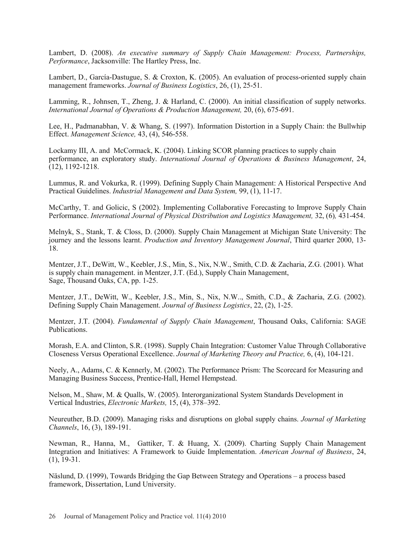Lambert, D. (2008). *An executive summary of Supply Chain Management: Process, Partnerships, Performance*, Jacksonville: The Hartley Press, Inc.

Lambert, D., García-Dastugue, S. & Croxton, K. (2005). An evaluation of process-oriented supply chain management frameworks. *Journal of Business Logistics*, 26, (1), 25-51.

Lamming, R., Johnsen, T., Zheng, J. & Harland, C. (2000). An initial classification of supply networks. *International Journal of Operations & Production Management,* 20, (6), 675-691.

Lee, H., Padmanabhan, V. & Whang, S. (1997). Information Distortion in a Supply Chain: the Bullwhip Effect. *Management Science,* 43, (4), 546-558.

Lockamy III, A. and McCormack, K. (2004). Linking SCOR planning practices to supply chain performance, an exploratory study. *International Journal of Operations & Business Management*, 24, (12), 1192-1218.

Lummus, R. and Vokurka, R. (1999). Defining Supply Chain Management: A Historical Perspective And Practical Guidelines. *Industrial Management and Data System,* 99, (1), 11-17.

McCarthy, T. and Golicic, S (2002). Implementing Collaborative Forecasting to Improve Supply Chain Performance. *International Journal of Physical Distribution and Logistics Management,* 32, (6)*,* 431-454.

Melnyk, S., Stank, T. & Closs, D. (2000). Supply Chain Management at Michigan State University: The journey and the lessons learnt. *Production and Inventory Management Journal*, Third quarter 2000, 13- 18.

Mentzer, J.T., DeWitt, W., Keebler, J.S., Min, S., Nix, N.W., Smith, C.D. & Zacharia, Z.G. (2001). What is supply chain management. in Mentzer, J.T. (Ed.), Supply Chain Management, Sage, Thousand Oaks, CA, pp. 1-25.

Mentzer, J.T., DeWitt, W., Keebler, J.S., Min, S., Nix, N.W.., Smith, C.D., & Zacharia, Z.G. (2002). Defining Supply Chain Management. *Journal of Business Logistics*, 22, (2), 1-25.

Mentzer, J.T. (2004). *Fundamental of Supply Chain Management*, Thousand Oaks, California: SAGE Publications.

Morash, E.A. and Clinton, S.R. (1998). Supply Chain Integration: Customer Value Through Collaborative Closeness Versus Operational Excellence. *Journal of Marketing Theory and Practice,* 6, (4), 104-121.

Neely, A., Adams, C. & Kennerly, M. (2002). The Performance Prism: The Scorecard for Measuring and Managing Business Success, Prentice-Hall, Hemel Hempstead.

Nelson, M., Shaw, M. & Qualls, W. (2005). Interorganizational System Standards Development in Vertical Industries, *Electronic Markets,* 15, (4), 378–392.

Neureuther, B.D. (2009). Managing risks and disruptions on global supply chains. *Journal of Marketing Channels*, 16, (3), 189-191.

Newman, R., Hanna, M., Gattiker, T. & Huang, X. (2009). Charting Supply Chain Management Integration and Initiatives: A Framework to Guide Implementation. *American Journal of Business*, 24,  $(1), 19-31.$ 

Näslund, D. (1999), Towards Bridging the Gap Between Strategy and Operations – a process based framework, Dissertation, Lund University.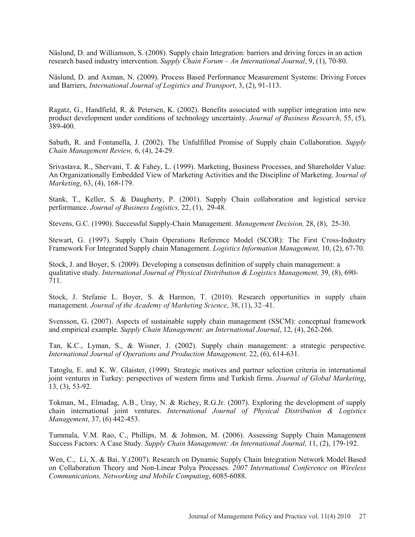Näslund, D. and Williamson, S. (2008). Supply chain Integration: barriers and driving forces in an action research based industry intervention. *Supply Chain Forum – An International Journal*, 9, (1), 70-80.

Näslund, D. and Axman, N. (2009). Process Based Performance Measurement Systems: Driving Forces and Barriers, *International Journal of Logistics and Transport*, 3, (2), 91-113.

Ragatz, G., Handfield, R. & Petersen, K. (2002). Benefits associated with supplier integration into new product development under conditions of technology uncertainty. *Journal of Business Research*, 55, (5), 389-400.

Sabath, R. and Fontanella, J. (2002). The Unfulfilled Promise of Supply chain Collaboration. *Supply Chain Management Review,* 6, (4), 24-29.

Srivastava, R., Shervani, T. & Fahey, L. (1999). Marketing, Business Processes, and Shareholder Value: An Organizationally Embedded View of Marketing Activities and the Discipline of Marketing. J*ournal of Marketing*, 63, (4), 168-179.

Stank, T., Keller, S. & Daugherty, P. (2001). Supply Chain collaboration and logistical service performance. *Journal of Business Logistics,* 22, (1), 29-48.

Stevens, G.C. (1990). Successful Supply-Chain Management. *Management Decision,* 28, (8), 25-30.

Stewart, G. (1997). Supply Chain Operations Reference Model (SCOR): The First Cross-Industry Framework For Integrated Supply chain Management. *Logistics Information Management,* 10, (2), 67-70.

Stock, J. and Boyer, S. (2009). Developing a consensus definition of supply chain management: a qualitative study. *International Journal of Physical Distribution & Logistics Management,* 39, (8), 690- 711.

Stock, J. Stefanie L. Boyer, S. & Harmon, T. (2010). Research opportunities in supply chain management. *Journal of the Academy of Marketing Science*, 38, (1), 32–41.

Svensson, G. (2007). Aspects of sustainable supply chain management (SSCM): conceptual framework and empirical example. *Supply Chain Management: an International Journal*, 12, (4), 262-266.

Tan, K.C., Lyman, S., & Wisner, J. (2002). Supply chain management: a strategic perspective. *International Journal of Operations and Production Management,* 22, (6), 614-631.

Tatoglu, E. and K. W. Glaister, (1999). Strategic motives and partner selection criteria in international joint ventures in Turkey: perspectives of western firms and Turkish firms. *Journal of Global Marketing*, 13, (3), 53-92.

Tokman, M., Elmadag, A.B., Uray, N. & Richey, R.G.Jr. (2007). Exploring the development of supply chain international joint ventures. *International Journal of Physical Distribution & Logistics Management*, 37, (6) 442-453.

Tummala, V.M. Rao, C., Phillips, M. & Johnson, M. (2006). Assessing Supply Chain Management Success Factors: A Case Study. *Supply Chain Management: An International Journal,* 11, (2), 179-192.

Wen, C., Li, X. & Bai, Y.(2007). Research on Dynamic Supply Chain Integration Network Model Based on Collaboration Theory and Non-Linear Polya Processes. *2007 International Conference on Wireless Communications, Networking and Mobile Computing*, 6085-6088.